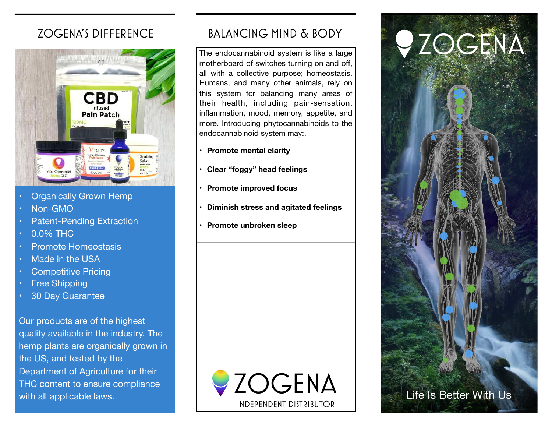

- **Organically Grown Hemp**
- Non-GMO
- Patent-Pending Extraction
- 0.0% THC
- Promote Homeostasis
- Made in the USA
- Competitive Pricing
- **Free Shipping**
- 30 Day Guarantee

Our products are of the highest quality available in the industry. The hemp plants are organically grown in the US, and tested by the Department of Agriculture for their THC content to ensure compliance with all applicable laws.

# Zogena's Difference Balancing Mind & Body

The endocannabinoid system is like a large motherboard of switches turning on and off, all with a collective purpose; homeostasis. Humans, and many other animals, rely on this system for balancing many areas of their health, including pain-sensation, inflammation, mood, memory, appetite, and more. Introducing phytocannabinoids to the endocannabinoid system may:.

- **• Promote mental clarity**
- **• Clear "foggy" head feelings**
- **• Promote improved focus**
- **• Diminish stress and agitated feelings**
- **• Promote unbroken sleep**